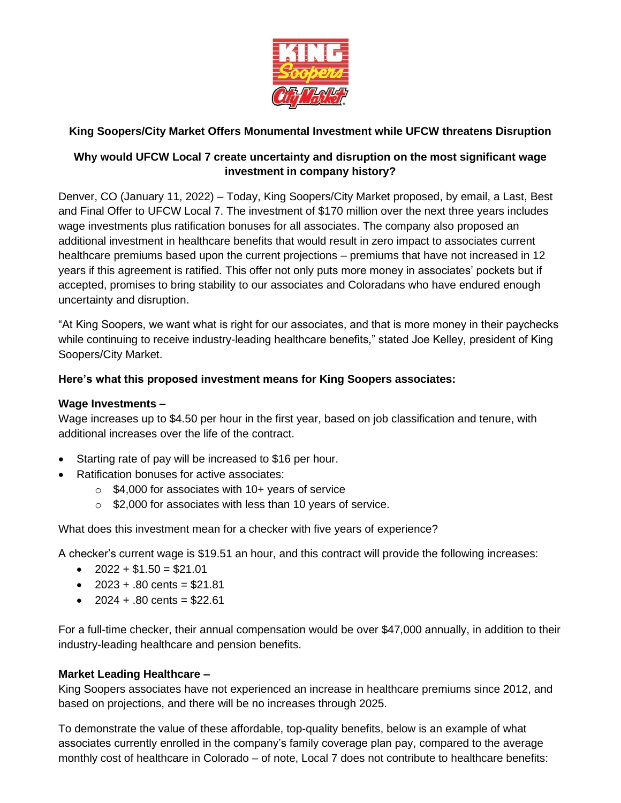

# **King Soopers/City Market Offers Monumental Investment while UFCW threatens Disruption**

# **Why would UFCW Local 7 create uncertainty and disruption on the most significant wage investment in company history?**

Denver, CO (January 11, 2022) – Today, King Soopers/City Market proposed, by email, a Last, Best and Final Offer to UFCW Local 7. The investment of \$170 million over the next three years includes wage investments plus ratification bonuses for all associates. The company also proposed an additional investment in healthcare benefits that would result in zero impact to associates current healthcare premiums based upon the current projections – premiums that have not increased in 12 years if this agreement is ratified. This offer not only puts more money in associates' pockets but if accepted, promises to bring stability to our associates and Coloradans who have endured enough uncertainty and disruption.

"At King Soopers, we want what is right for our associates, and that is more money in their paychecks while continuing to receive industry-leading healthcare benefits," stated Joe Kelley, president of King Soopers/City Market.

### **Here's what this proposed investment means for King Soopers associates:**

#### **Wage Investments –**

Wage increases up to \$4.50 per hour in the first year, based on job classification and tenure, with additional increases over the life of the contract.

- Starting rate of pay will be increased to \$16 per hour.
- Ratification bonuses for active associates:
	- $\circ$  \$4,000 for associates with 10+ years of service
	- o \$2,000 for associates with less than 10 years of service.

What does this investment mean for a checker with five years of experience?

A checker's current wage is \$19.51 an hour, and this contract will provide the following increases:

- $2022 + $1.50 = $21.01$
- $2023 + .80$  cents = \$21.81
- $2024 + .80$  cents = \$22.61

For a full-time checker, their annual compensation would be over \$47,000 annually, in addition to their industry-leading healthcare and pension benefits.

#### **Market Leading Healthcare –**

King Soopers associates have not experienced an increase in healthcare premiums since 2012, and based on projections, and there will be no increases through 2025.

To demonstrate the value of these affordable, top-quality benefits, below is an example of what associates currently enrolled in the company's family coverage plan pay, compared to the average monthly cost of healthcare in Colorado – of note, Local 7 does not contribute to healthcare benefits: